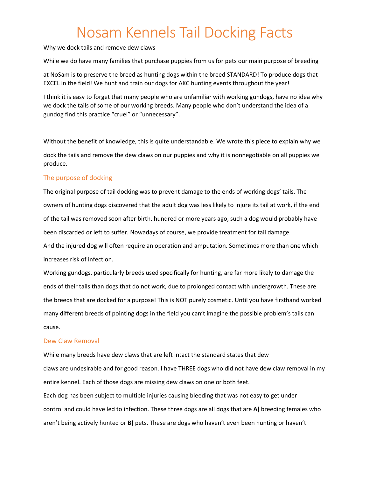Why we dock tails and remove dew claws

While we do have many families that purchase puppies from us for pets our main purpose of breeding

at NoSam is to preserve the breed as hunting dogs within the breed STANDARD! To produce dogs that EXCEL in the field! We hunt and train our dogs for AKC hunting events throughout the year!

I think it is easy to forget that many people who are unfamiliar with working gundogs, have no idea why we dock the tails of some of our working breeds. Many people who don't understand the idea of a gundog find this practice "cruel" or "unnecessary".

Without the benefit of knowledge, this is quite understandable. We wrote this piece to explain why we dock the tails and remove the dew claws on our puppies and why it is nonnegotiable on all puppies we produce.

### The purpose of docking

The original purpose of tail docking was to prevent damage to the ends of working dogs' tails. The owners of hunting dogs discovered that the adult dog was less likely to injure its tail at work, if the end of the tail was removed soon after birth. hundred or more years ago, such a dog would probably have been discarded or left to suffer. Nowadays of course, we provide treatment for tail damage. And the injured dog will often require an operation and amputation. Sometimes more than one which increases risk of infection.

Working gundogs, particularly breeds used specifically for hunting, are far more likely to damage the ends of their tails than dogs that do not work, due to prolonged contact with undergrowth. These are the breeds that are docked for a purpose! This is NOT purely cosmetic. Until you have firsthand worked many different breeds of pointing dogs in the field you can't imagine the possible problem's tails can cause.

### Dew Claw Removal

While many breeds have dew claws that are left intact the standard states that dew claws are undesirable and for good reason. I have THREE dogs who did not have dew claw removal in my entire kennel. Each of those dogs are missing dew claws on one or both feet. Each dog has been subject to multiple injuries causing bleeding that was not easy to get under control and could have led to infection. These three dogs are all dogs that are **A)** breeding females who aren't being actively hunted or **B)** pets. These are dogs who haven't even been hunting or haven't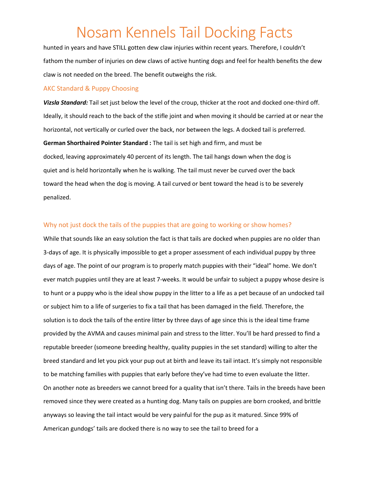hunted in years and have STILL gotten dew claw injuries within recent years. Therefore, I couldn't fathom the number of injuries on dew claws of active hunting dogs and feel for health benefits the dew claw is not needed on the breed. The benefit outweighs the risk.

#### AKC Standard & Puppy Choosing

*Vizsla Standard:* Tail set just below the level of the croup, thicker at the root and docked one-third off. Ideally, it should reach to the back of the stifle joint and when moving it should be carried at or near the horizontal, not vertically or curled over the back, nor between the legs. A docked tail is preferred. **German Shorthaired Pointer Standard :** The tail is set high and firm, and must be docked, leaving approximately 40 percent of its length. The tail hangs down when the dog is quiet and is held horizontally when he is walking. The tail must never be curved over the back toward the head when the dog is moving. A tail curved or bent toward the head is to be severely penalized.

#### Why not just dock the tails of the puppies that are going to working or show homes?

While that sounds like an easy solution the fact is that tails are docked when puppies are no older than 3-days of age. It is physically impossible to get a proper assessment of each individual puppy by three days of age. The point of our program is to properly match puppies with their "ideal" home. We don't ever match puppies until they are at least 7-weeks. It would be unfair to subject a puppy whose desire is to hunt or a puppy who is the ideal show puppy in the litter to a life as a pet because of an undocked tail or subject him to a life of surgeries to fix a tail that has been damaged in the field. Therefore, the solution is to dock the tails of the entire litter by three days of age since this is the ideal time frame provided by the AVMA and causes minimal pain and stress to the litter. You'll be hard pressed to find a reputable breeder (someone breeding healthy, quality puppies in the set standard) willing to alter the breed standard and let you pick your pup out at birth and leave its tail intact. It's simply not responsible to be matching families with puppies that early before they've had time to even evaluate the litter. On another note as breeders we cannot breed for a quality that isn't there. Tails in the breeds have been removed since they were created as a hunting dog. Many tails on puppies are born crooked, and brittle anyways so leaving the tail intact would be very painful for the pup as it matured. Since 99% of American gundogs' tails are docked there is no way to see the tail to breed for a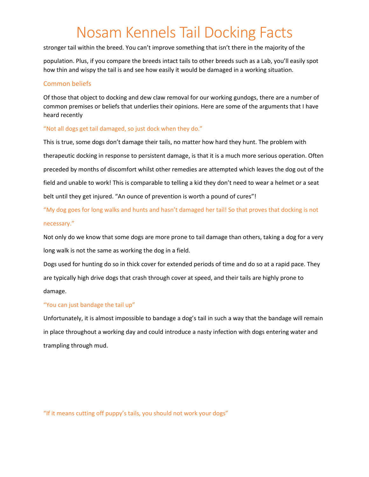stronger tail within the breed. You can't improve something that isn't there in the majority of the

population. Plus, if you compare the breeds intact tails to other breeds such as a Lab, you'll easily spot how thin and wispy the tail is and see how easily it would be damaged in a working situation.

### Common beliefs

Of those that object to docking and dew claw removal for our working gundogs, there are a number of common premises or beliefs that underlies their opinions. Here are some of the arguments that I have heard recently

#### "Not all dogs get tail damaged, so just dock when they do."

This is true, some dogs don't damage their tails, no matter how hard they hunt. The problem with therapeutic docking in response to persistent damage, is that it is a much more serious operation. Often preceded by months of discomfort whilst other remedies are attempted which leaves the dog out of the field and unable to work! This is comparable to telling a kid they don't need to wear a helmet or a seat belt until they get injured. "An ounce of prevention is worth a pound of cures"!

"My dog goes for long walks and hunts and hasn't damaged her tail! So that proves that docking is not necessary."

Not only do we know that some dogs are more prone to tail damage than others, taking a dog for a very long walk is not the same as working the dog in a field.

Dogs used for hunting do so in thick cover for extended periods of time and do so at a rapid pace. They are typically high drive dogs that crash through cover at speed, and their tails are highly prone to damage.

### "You can just bandage the tail up"

Unfortunately, it is almost impossible to bandage a dog's tail in such a way that the bandage will remain in place throughout a working day and could introduce a nasty infection with dogs entering water and trampling through mud.

"If it means cutting off puppy's tails, you should not work your dogs"